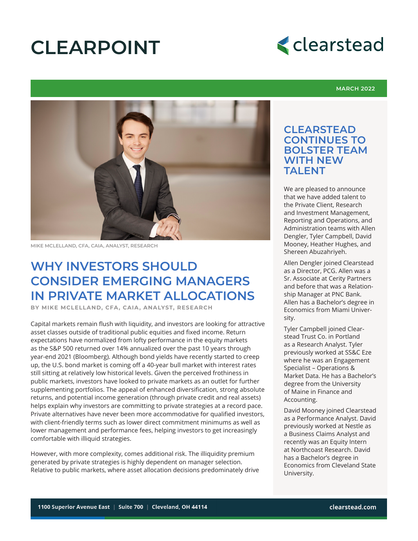# **CLEARPOINT**



#### **MARCH 2022**



**MIKE MCLELLAND, CFA, CAIA, ANALYST, RESEARCH**

## **WHY INVESTORS SHOULD CONSIDER EMERGING MANAGERS IN PRIVATE MARKET ALLOCATIONS**

**BY MIKE MCLELLAND, CFA, CAIA, ANALYST, RESEARCH**

Capital markets remain flush with liquidity, and investors are looking for attractive asset classes outside of traditional public equities and fixed income. Return expectations have normalized from lofty performance in the equity markets as the S&P 500 returned over 14% annualized over the past 10 years through year-end 2021 (Bloomberg). Although bond yields have recently started to creep up, the U.S. bond market is coming off a 40-year bull market with interest rates still sitting at relatively low historical levels. Given the perceived frothiness in public markets, investors have looked to private markets as an outlet for further supplementing portfolios. The appeal of enhanced diversification, strong absolute returns, and potential income generation (through private credit and real assets) helps explain why investors are committing to private strategies at a record pace. Private alternatives have never been more accommodative for qualified investors, with client-friendly terms such as lower direct commitment minimums as well as lower management and performance fees, helping investors to get increasingly comfortable with illiquid strategies.

However, with more complexity, comes additional risk. The illiquidity premium generated by private strategies is highly dependent on manager selection. Relative to public markets, where asset allocation decisions predominately drive

1100 Superior Avenue East • Suite 700 • Cleveland, Ohio 44114

### **CLEARSTEAD CONTINUES TO BOLSTER TEAM WITH NEW TALENT**

We are pleased to announce that we have added talent to the Private Client, Research and Investment Management, Reporting and Operations, and Administration teams with Allen Dengler, Tyler Campbell, David Mooney, Heather Hughes, and Shereen Abuzahriyeh.

Allen Dengler joined Clearstead as a Director, PCG. Allen was a Sr. Associate at Cerity Partners and before that was a Relationship Manager at PNC Bank. Allen has a Bachelor's degree in Economics from Miami University.

Tyler Campbell joined Clearstead Trust Co. in Portland as a Research Analyst. Tyler previously worked at SS&C Eze where he was an Engagement Specialist – Operations & Market Data. He has a Bachelor's degree from the University of Maine in Finance and Accounting.

David Mooney joined Clearstead as a Performance Analyst. David previously worked at Nestle as a Business Claims Analyst and recently was an Equity Intern at Northcoast Research. David has a Bachelor's degree in Economics from Cleveland State University.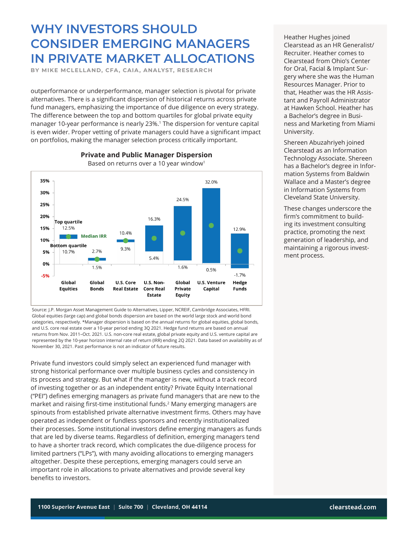**BY MIKE MCLELLAND, CFA, CAIA, ANALYST, RESEARCH**

outperformance or underperformance, manager selection is pivotal for private alternatives. There is a significant dispersion of historical returns across private fund managers, emphasizing the importance of due diligence on every strategy. The difference between the top and bottom quartiles for global private equity manager 10-year performance is nearly 23%.1 The dispersion for venture capital is even wider. Proper vetting of private managers could have a significant impact on portfolios, making the manager selection process critically important.



**Private and Public Manager Dispersion** Based on returns over a 10 year window<sup>1</sup>

Source: J.P. Morgan Asset Management Guide to Alternatives, Lipper, NCREIF, Cambridge Associates, HFRI. Global equities (large cap) and global bonds dispersion are based on the world large stock and world bond categories, respectively. \*Manager dispersion is based on the annual returns for global equities, global bonds, and U.S. core real estate over a 10-year period ending 3Q 2021. Hedge fund returns are based on annual returns from Nov. 2011–Oct. 2021. U.S. non-core real estate, global private equity and U.S. venture capital are represented by the 10-year horizon internal rate of return (IRR) ending 2Q 2021. Data based on availability as of November 30, 2021. Past performance is not an indicator of future results.

Private fund investors could simply select an experienced fund manager with strong historical performance over multiple business cycles and consistency in its process and strategy. But what if the manager is new, without a track record of investing together or as an independent entity? Private Equity International ("PEI") defines emerging managers as private fund managers that are new to the market and raising first-time institutional funds.<sup>2</sup> Many emerging managers are spinouts from established private alternative investment firms. Others may have operated as independent or fundless sponsors and recently institutionalized their processes. Some institutional investors define emerging managers as funds that are led by diverse teams. Regardless of definition, emerging managers tend to have a shorter track record, which complicates the due-diligence process for limited partners ("LPs"), with many avoiding allocations to emerging managers altogether. Despite these perceptions, emerging managers could serve an important role in allocations to private alternatives and provide several key benefits to investors.

Heather Hughes joined Clearstead as an HR Generalist/ Recruiter. Heather comes to Clearstead from Ohio's Center for Oral, Facial & Implant Surgery where she was the Human Resources Manager. Prior to that, Heather was the HR Assistant and Payroll Administrator at Hawken School. Heather has a Bachelor's degree in Business and Marketing from Miami University.

Shereen Abuzahriyeh joined Clearstead as an Information Technology Associate. Shereen has a Bachelor's degree in Information Systems from Baldwin Wallace and a Master's degree in Information Systems from Cleveland State University.

These changes underscore the firm's commitment to building its investment consulting practice, promoting the next generation of leadership, and maintaining a rigorous investment process.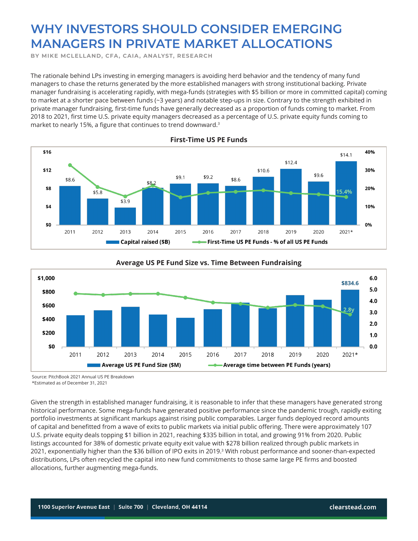**BY MIKE MCLELLAND, CFA, CAIA, ANALYST, RESEARCH**

The rationale behind LPs investing in emerging managers is avoiding herd behavior and the tendency of many fund managers to chase the returns generated by the more established managers with strong institutional backing. Private manager fundraising is accelerating rapidly, with mega-funds (strategies with \$5 billion or more in committed capital) coming to market at a shorter pace between funds (~3 years) and notable step-ups in size. Contrary to the strength exhibited in private manager fundraising, first-time funds have generally decreased as a proportion of funds coming to market. From 2018 to 2021, first time U.S. private equity managers decreased as a percentage of U.S. private equity funds coming to market to nearly 15%, a figure that continues to trend downward.<sup>3</sup>



#### **First-Time US PE Funds**



#### **Average US PE Fund Size vs. Time Between Fundraising**

Source: PitchBook 2021 Annual US PE Breakdown \*Estimated as of December 31, 2021

Given the strength in established manager fundraising, it is reasonable to infer that these managers have generated strong historical performance. Some mega-funds have generated positive performance since the pandemic trough, rapidly exiting portfolio investments at significant markups against rising public comparables. Larger funds deployed record amounts of capital and benefitted from a wave of exits to public markets via initial public offering. There were approximately 107 U.S. private equity deals topping \$1 billion in 2021, reaching \$335 billion in total, and growing 91% from 2020. Public listings accounted for 38% of domestic private equity exit value with \$278 billion realized through public markets in 2021, exponentially higher than the \$36 billion of IPO exits in 2019.3 With robust performance and sooner-than-expected distributions, LPs often recycled the capital into new fund commitments to those same large PE firms and boosted allocations, further augmenting mega-funds.

1100 Superior Avenue East • Suite 700 • Cleveland, Ohio 44114 clearstead.com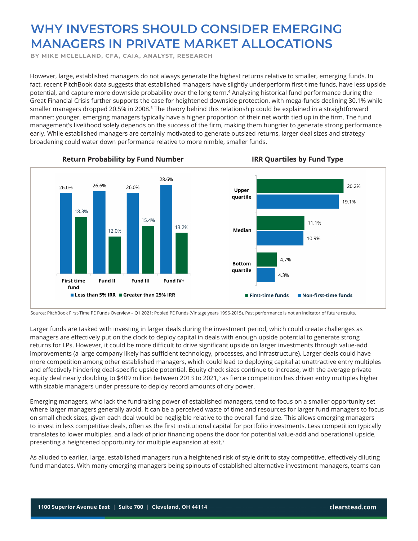**BY MIKE MCLELLAND, CFA, CAIA, ANALYST, RESEARCH**

However, large, established managers do not always generate the highest returns relative to smaller, emerging funds. In fact, recent PitchBook data suggests that established managers have slightly underperform first-time funds, have less upside potential, and capture more downside probability over the long term.4 Analyzing historical fund performance during the Great Financial Crisis further supports the case for heightened downside protection, with mega-funds declining 30.1% while smaller managers dropped 20.5% in 2008.<sup>5</sup> The theory behind this relationship could be explained in a straightforward manner; younger, emerging managers typically have a higher proportion of their net worth tied up in the firm. The fund management's livelihood solely depends on the success of the firm, making them hungrier to generate strong performance early. While established managers are certainly motivated to generate outsized returns, larger deal sizes and strategy broadening could water down performance relative to more nimble, smaller funds.



**Return Probability by Fund Number IRR Quartiles by Fund Type**

Source: PitchBook First-Time PE Funds Overview – Q1 2021; Pooled PE Funds (Vintage years 1996-2015). Past performance is not an indicator of future results.

Larger funds are tasked with investing in larger deals during the investment period, which could create challenges as managers are effectively put on the clock to deploy capital in deals with enough upside potential to generate strong returns for LPs. However, it could be more difficult to drive significant upside on larger investments through value-add improvements (a large company likely has sufficient technology, processes, and infrastructure). Larger deals could have more competition among other established managers, which could lead to deploying capital at unattractive entry multiples and effectively hindering deal-specific upside potential. Equity check sizes continue to increase, with the average private equity deal nearly doubling to \$409 million between 2013 to 2021,<sup>6</sup> as fierce competition has driven entry multiples higher with sizable managers under pressure to deploy record amounts of dry power.

Emerging managers, who lack the fundraising power of established managers, tend to focus on a smaller opportunity set where larger managers generally avoid. It can be a perceived waste of time and resources for larger fund managers to focus on small check sizes, given each deal would be negligible relative to the overall fund size. This allows emerging managers to invest in less competitive deals, often as the first institutional capital for portfolio investments. Less competition typically translates to lower multiples, and a lack of prior financing opens the door for potential value-add and operational upside, presenting a heightened opportunity for multiple expansion at exit.<sup>7</sup>

As alluded to earlier, large, established managers run a heightened risk of style drift to stay competitive, effectively diluting fund mandates. With many emerging managers being spinouts of established alternative investment managers, teams can

1100 Superior Avenue East • Suite 700 • Cleveland, Ohio 44114 clearstead.com